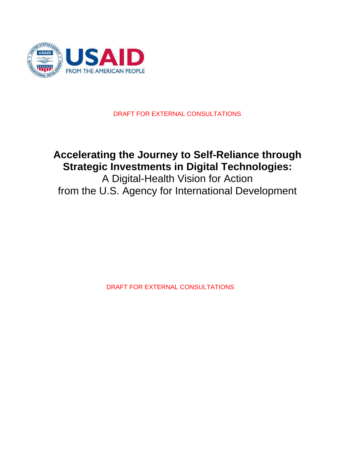

## DRAFT FOR EXTERNAL CONSULTATIONS

# **Accelerating the Journey to Self-Reliance through Strategic Investments in Digital Technologies:**

A Digital-Health Vision for Action from the U.S. Agency for International Development

DRAFT FOR EXTERNAL CONSULTATIONS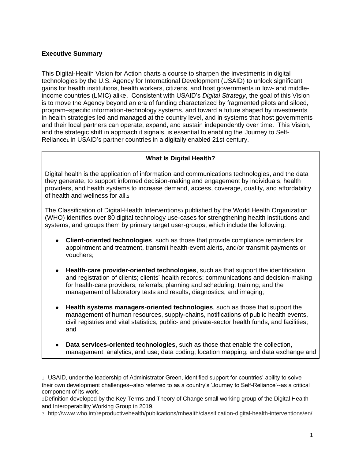#### **Executive Summary**

This Digital-Health Vision for Action charts a course to sharpen the investments in digital technologies by the U.S. Agency for International Development (USAID) to unlock significant gains for health institutions, health workers, citizens, and host governments in low- and middleincome countries (LMIC) alike. Consistent with USAID's *Digital Strategy*, the goal of this Vision is to move the Agency beyond an era of funding characterized by fragmented pilots and siloed, program–specific information-technology systems, and toward a future shaped by investments in health strategies led and managed at the country level, and in systems that host governments and their local partners can operate, expand, and sustain independently over time. This Vision, and the strategic shift in approach it signals, is essential to enabling the Journey to Self-Reliance<sub>1</sub> in USAID's partner countries in a digitally enabled 21st century.

## **What Is Digital Health?**

Digital health is the application of information and communications technologies, and the data they generate, to support informed decision-making and engagement by individuals, health providers, and health systems to increase demand, access, coverage, quality, and affordability of health and wellness for all.<sup>2</sup>

The Classification of Digital-Health Interventions<sub>3</sub> published by the World Health Organization (WHO) identifies over 80 digital technology use-cases for strengthening health institutions and systems, and groups them by primary target user-groups, which include the following:

- **Client-oriented technologies**, such as those that provide compliance reminders for appointment and treatment, transmit health-event alerts, and/or transmit payments or vouchers;
- **Health-care provider-oriented technologies**, such as that support the identification and registration of clients; clients' health records; communications and decision-making for health-care providers; referrals; planning and scheduling; training; and the management of laboratory tests and results, diagnostics, and imaging;
- **Health systems managers-oriented technologies**, such as those that support the management of human resources, supply-chains, notifications of public health events, civil registries and vital statistics, public- and private-sector health funds, and facilities; and
- **Data services-oriented technologies**, such as those that enable the collection, management, analytics, and use; data coding; location mapping; and data exchange and

1 USAID, under the leadership of Administrator Green, identified support for countries' ability to solve their own development challenges--also referred to as a country's 'Journey to Self-Reliance'--as a critical component of its work.

2Definition developed by the Key Terms and Theory of Change small working group of the Digital Health and Interoperability Working Group in 2019.

3 <http://www.who.int/reproductivehealth/publications/mhealth/classification-digital-health-interventions/en/>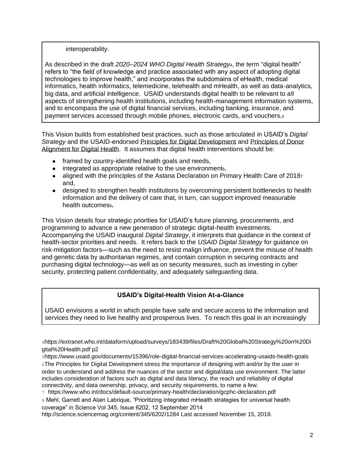interoperability.

As described in the draft *2020–2024 WHO Digital Health Strategy*4, the term "digital health" refers to "the field of knowledge and practice associated with any aspect of adopting digital technologies to improve health," and incorporates the subdomains of eHealth, medical informatics, health informatics, telemedicine, telehealth and mHealth, as well as data-analytics, big data, and artificial intelligence. USAID understands digital health to be relevant to all aspects of strengthening health institutions, including health-management information systems, and to encompass the use of digital financial services, including banking, insurance, and payment services accessed through mobile phones, electronic cards, and vouchers.<sup>5</sup>

This Vision builds from established best practices, such as those articulated in USAID's *Digital Strategy* and the USAID-endorsed [Principles for Digital Development](https://digitalprinciples.org/) and [Principles of Donor](http://digitalinvestmentprinciples.org/)  [Alignment for Digital Health.](http://digitalinvestmentprinciples.org/) It assumes that digital health interventions should be:

- framed by country-identified health goals and needs,
- integrated as appropriate relative to the use environment<sub>6</sub>,
- aligned with the principles of the Astana Declaration on Primary Health Care of 20187 and,
- designed to strengthen health institutions by overcoming persistent bottlenecks to health information and the delivery of care that, in turn, can support improved measurable health outcomes<sup>8</sup>.

This Vision details four strategic priorities for USAID's future planning, procurements, and programming to advance a new generation of strategic digital-health investments. Accompanying the USAID inaugural *Digital Strategy*, it interprets that guidance in the context of health-sector priorities and needs. It refers back to the *USAID Digital Strategy* for guidance on risk-mitigation factors—such as the need to resist malign influence, prevent the misuse of health and genetic data by authoritarian regimes, and contain corruption in securing contracts and purchasing digital technology—as well as on security measures, such as investing in cyber security, protecting patient confidentiality, and adequately safeguarding data.

# **USAID's Digital-Health Vision At-a-Glance**

USAID envisions a world in which people have safe and secure access to the information and services they need to live healthy and prosperous lives. To reach this goal in an increasingly

4[https://extranet.who.int/dataform/upload/surveys/183439/files/Draft%20Global%20Strategy%20on%20Di](https://extranet.who.int/dataform/upload/surveys/183439/files/Draft%20Global%20Strategy%20on%20Digital%20Health.pdf) [gital%20Health.pdf](https://extranet.who.int/dataform/upload/surveys/183439/files/Draft%20Global%20Strategy%20on%20Digital%20Health.pdf) p2

5<https://www.usaid.gov/documents/15396/role-digital-financial-services-accelerating-usaids-health-goals> 6The Principles for Digital Development stress the importance of designing with and/or by the user in order to understand and address the nuances of the sector and digital/data use environment. The latter includes consideration of factors such as digital and data literacy, the reach and reliability of digital connectivity, and data ownership, privacy, and security requirements, to name a few.

7 <https://www.who.int/docs/default-source/primary-health/declaration/gcphc-declaration.pdf>

8 Mehl, Garrett and Alain Labrique, "Prioritizing integrated mHealth strategies for universal health coverage" in Science Vol 345, Issue 6202, 12 September 2014

<http://science.sciencemag.org/content/345/6202/1284> Last accessed November 15, 2018.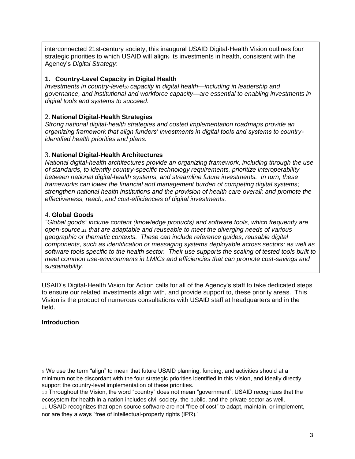interconnected 21st-century society, this inaugural USAID Digital-Health Vision outlines four strategic priorities to which USAID will align<sup>9</sup> its investments in health, consistent with the Agency's *Digital Strategy*:

## **1. Country-Level Capacity in Digital Health**

*Investments in country-level<sup>10</sup> capacity in digital health—including in leadership and governance, and institutional and workforce capacity—are essential to enabling investments in digital tools and systems to succeed.* 

## 2. **National Digital-Health Strategies**

*Strong national digital-health strategies and costed implementation roadmaps provide an organizing framework that align funders' investments in digital tools and systems to countryidentified health priorities and plans.* 

## 3. **National Digital-Health Architectures**

*National digital-health architectures provide an organizing framework, including through the use of standards, to identify country-specific technology requirements, prioritize interoperability between national digital-health systems, and streamline future investments. In turn, these frameworks can lower the financial and management burden of competing digital systems; strengthen national health institutions and the provision of health care overall; and promote the effectiveness, reach, and cost-efficiencies of digital investments.* 

## 4. **Global Goods**

*"Global goods" include content (knowledge products) and software tools, which frequently are open-source,<sup>11</sup> that are adaptable and reuseable to meet the diverging needs of various geographic or thematic contexts. These can include reference guides; reusable digital components, such as identification or messaging systems deployable across sectors; as well as software tools specific to the health sector. Their use supports the scaling of tested tools built to meet common use-environments in LMICs and efficiencies that can promote cost-savings and sustainability.*

USAID's Digital-Health Vision for Action calls for all of the Agency's staff to take dedicated steps to ensure our related investments align with, and provide support to, these priority areas. This Vision is the product of numerous consultations with USAID staff at headquarters and in the field.

# **Introduction**

9 We use the term "align" to mean that future USAID planning, funding, and activities should at a minimum not be discordant with the four strategic priorities identified in this Vision, and ideally directly support the country-level implementation of these priorities.

10 Throughout the Vision, the word "country" does not mean "government"; USAID recognizes that the ecosystem for health in a nation includes civil society, the public, and the private sector as well.

11 USAID recognizes that open-source software are not "free of cost" to adapt, maintain, or implement, nor are they always "free of intellectual-property rights (IPR)."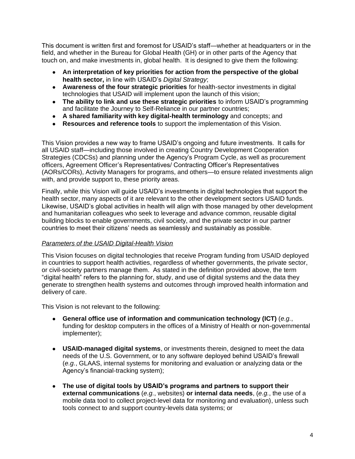This document is written first and foremost for USAID's staff—whether at headquarters or in the field, and whether in the Bureau for Global Health (GH) or in other parts of the Agency that touch on, and make investments in, global health. It is designed to give them the following:

- **An interpretation of key priorities for action from the perspective of the global health sector,** in line with USAID's *Digital Strategy*;
- **Awareness of the four strategic priorities** for health-sector investments in digital technologies that USAID will implement upon the launch of this vision;
- **The ability to link and use these strategic priorities** to inform USAID's programming and facilitate the Journey to Self-Reliance in our partner countries;
- **A shared familiarity with key digital-health terminology** and concepts; and
- **Resources and reference tools** to support the implementation of this Vision.

This Vision provides a new way to frame USAID's ongoing and future investments. It calls for all USAID staff—including those involved in creating Country Development Cooperation Strategies (CDCSs) and planning under the Agency's Program Cycle, as well as procurement officers, Agreement Officer's Representatives/ Contracting Officer's Representatives (AORs/CORs), Activity Managers for programs, and others—to ensure related investments align with, and provide support to, these priority areas.

Finally, while this Vision will guide USAID's investments in digital technologies that support the health sector, many aspects of it are relevant to the other development sectors USAID funds. Likewise, USAID's global activities in health will align with those managed by other development and humanitarian colleagues who seek to leverage and advance common, reusable digital building blocks to enable governments, civil society, and the private sector in our partner countries to meet their citizens' needs as seamlessly and sustainably as possible.

#### *Parameters of the USAID Digital-Health Vision*

This Vision focuses on digital technologies that receive Program funding from USAID deployed in countries to support health activities, regardless of whether governments, the private sector, or civil-society partners manage them. As stated in the definition provided above, the term "digital health" refers to the planning for, study, and use of digital systems and the data they generate to strengthen health systems and outcomes through improved health information and delivery of care.

This Vision is not relevant to the following:

- **General office use of information and communication technology (ICT)** (*e.g.*, funding for desktop computers in the offices of a Ministry of Health or non-governmental implementer);
- **USAID-managed digital systems**, or investments therein, designed to meet the data needs of the U.S. Government, or to any software deployed behind USAID's firewall (*e.g.*, GLAAS, internal systems for monitoring and evaluation or analyzing data or the Agency's financial-tracking system);
- **The use of digital tools by USAID's programs and partners to support their external communications** (*e.g.*, websites) **or internal data needs**, (*e.g.*, the use of a mobile data tool to collect project-level data for monitoring and evaluation), unless such tools connect to and support country-levels data systems; or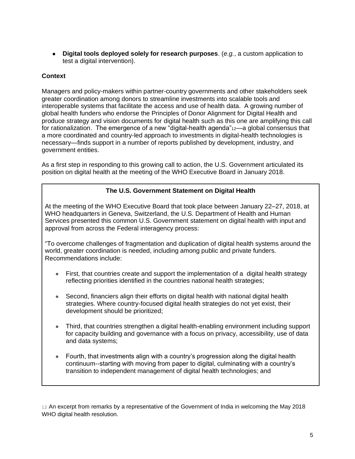● **Digital tools deployed solely for research purposes**. (*e.g.*, a custom application to test a digital intervention).

## **Context**

Managers and policy-makers within partner-country governments and other stakeholders seek greater coordination among donors to streamline investments into scalable tools and interoperable systems that facilitate the access and use of health data. A growing number of global health funders who endorse the Principles of Donor Alignment for Digital Health and produce strategy and vision documents for digital health such as this one are amplifying this call for rationalization. The emergence of a new "digital-health agenda"<sub>12</sub>—a global consensus that a more coordinated and country-led approach to investments in digital-health technologies is necessary—finds support in a number of reports published by development, industry, and government entities.

As a first step in responding to this growing call to action, the U.S. Government articulated its position on digital health at the meeting of the WHO Executive Board in January 2018.

## **The U.S. Government Statement on Digital Health**

At the meeting of the WHO Executive Board that took place between January 22–27, 2018, at WHO headquarters in Geneva, Switzerland, the U.S. Department of Health and Human Services presented this common U.S. Government statement on digital health with input and approval from across the Federal interagency process:

"To overcome challenges of fragmentation and duplication of digital health systems around the world, greater coordination is needed, including among public and private funders. Recommendations include:

- First, that countries create and support the implementation of a digital health strategy reflecting priorities identified in the countries national health strategies;
- Second, financiers align their efforts on digital health with national digital health strategies. Where country-focused digital health strategies do not yet exist, their development should be prioritized;
- Third, that countries strengthen a digital health-enabling environment including support for capacity building and governance with a focus on privacy, accessibility, use of data and data systems;
- Fourth, that investments align with a country's progression along the digital health continuum--starting with moving from paper to digital, culminating with a country's transition to independent management of digital health technologies; and

12 An excerpt from remarks by a representative of the Government of India in welcoming the May 2018 WHO digital health resolution.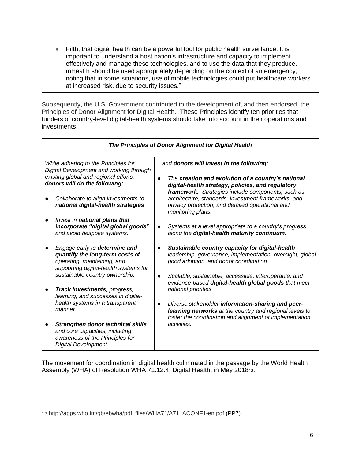● Fifth, that digital health can be a powerful tool for public health surveillance. It is important to understand a host nation's infrastructure and capacity to implement effectively and manage these technologies, and to use the data that they produce. mHealth should be used appropriately depending on the context of an emergency, noting that in some situations, use of mobile technologies could put healthcare workers at increased risk, due to security issues."

Subsequently, the U.S. Government contributed to the development of, and then endorsed, the [Principles of Donor Alignment for Digital Health.](http://www.donorprinciples.org/) These Principles identify ten priorities that funders of country-level digital-health systems should take into account in their operations and investments.

| The Principles of Donor Alignment for Digital Health |                                                                                                                                                                                                                                        |                                                                                                                                                                                                                                                                                                                                                       |
|------------------------------------------------------|----------------------------------------------------------------------------------------------------------------------------------------------------------------------------------------------------------------------------------------|-------------------------------------------------------------------------------------------------------------------------------------------------------------------------------------------------------------------------------------------------------------------------------------------------------------------------------------------------------|
|                                                      | While adhering to the Principles for<br>Digital Development and working through<br>existing global and regional efforts,<br>donors will do the following:<br>Collaborate to align investments to<br>national digital-health strategies | and donors will invest in the following:<br>The creation and evolution of a country's national<br>$\bullet$<br>digital-health strategy, policies, and regulatory<br>framework. Strategies include components, such as<br>architecture, standards, investment frameworks, and<br>privacy protection, and detailed operational and<br>monitoring plans. |
|                                                      | Invest in national plans that<br>incorporate "digital global goods"<br>and avoid bespoke systems.                                                                                                                                      | Systems at a level appropriate to a country's progress<br>$\bullet$<br>along the digital-health maturity continuum.                                                                                                                                                                                                                                   |
|                                                      | Engage early to determine and<br>quantify the long-term costs of<br>operating, maintaining, and<br>supporting digital-health systems for<br>sustainable country ownership.                                                             | Sustainable country capacity for digital-health<br>leadership, governance, implementation, oversight, global<br>good adoption, and donor coordination.<br>Scalable, sustainable, accessible, interoperable, and<br>$\bullet$<br>evidence-based digital-health global goods that meet                                                                  |
|                                                      | Track investments, progress,<br>learning, and successes in digital-<br>health systems in a transparent<br>manner.                                                                                                                      | national priorities.<br>Diverse stakeholder information-sharing and peer-<br>$\bullet$<br>learning networks at the country and regional levels to<br>foster the coordination and alignment of implementation                                                                                                                                          |
|                                                      | <b>Strengthen donor technical skills</b><br>and core capacities, including<br>awareness of the Principles for<br>Digital Development.                                                                                                  | activities.                                                                                                                                                                                                                                                                                                                                           |

The movement for coordination in digital health culminated in the passage by the World Health Assembly (WHA) of Resolution WHA 71.12.4, Digital Health, in May 201813.

<sup>13</sup> [http://apps.who.int/gb/ebwha/pdf\\_files/WHA71/A71\\_ACONF1-en.pdf](http://apps.who.int/gb/ebwha/pdf_files/WHA71/A71_ACONF1-en.pdf) (PP7)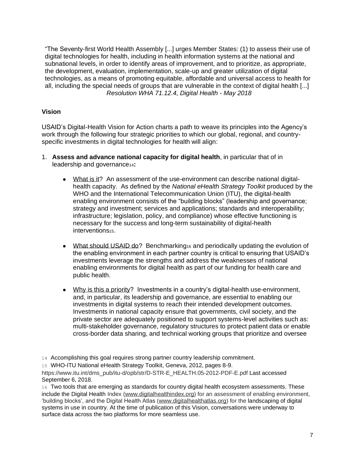"The Seventy-first World Health Assembly [...] urges Member States: (1) to assess their use of digital technologies for health, including in health information systems at the national and subnational levels, in order to identify areas of improvement, and to prioritize, as appropriate, the development, evaluation, implementation, scale-up and greater utilization of digital technologies, as a means of promoting equitable, affordable and universal access to health for all, including the special needs of groups that are vulnerable in the context of digital health [...] *Resolution WHA 71.12.4, Digital Health - May 2018*

## **Vision**

USAID's Digital-Health Vision for Action charts a path to weave its principles into the Agency's work through the following four strategic priorities to which our global, regional, and countryspecific investments in digital technologies for health will align:

- 1. **Assess and advance national capacity for digital health**, in particular that of in leadership and governance14**:**
	- What is it? An assessment of the use-environment can describe national digitalhealth capacity. As defined by the *National eHealth Strategy Toolkit* produced by the WHO and the International Telecommunication Union (ITU), the digital-health enabling environment consists of the "building blocks" (leadership and governance; strategy and investment; services and applications; standards and interoperability; infrastructure; legislation, policy, and compliance) whose effective functioning is necessary for the success and long-term sustainability of digital-health intervention<sub>S15</sub>.
	- What should USAID do? Benchmarking<sub>16</sub> and periodically updating the evolution of the enabling environment in each partner country is critical to ensuring that USAID's investments leverage the strengths and address the weaknesses of national enabling environments for digital health as part of our funding for health care and public health.
	- Why is this a priority? Investments in a country's digital-health use-environment, and, in particular, its leadership and governance, are essential to enabling our investments in digital systems to reach their intended development outcomes. Investments in national capacity ensure that governments, civil society, and the private sector are adequately positioned to support systems-level activities such as: multi-stakeholder governance, regulatory structures to protect patient data or enable cross-border data sharing, and technical working groups that prioritize and oversee

[https://www.itu.int/dms\\_pub/itu-d/opb/str/D-STR-E\\_HEALTH.05-2012-PDF-E.pdf](https://www.itu.int/dms_pub/itu-d/opb/str/D-STR-E_HEALTH.05-2012-PDF-E.pdf) Last accessed September 6, 2018.

16 Two tools that are emerging as standards for country digital health ecosystem assessments. These include the Digital Health Index [\(www.digitalhealthindex.org\)](http://www.digitalhealthindex.org/) for an assessment of enabling environment, 'building blocks', and the Digital Health Atlas [\(www.digitalhealthatlas.org\)](http://www.digitalhealthatlas.org/) for the landscaping of digital systems in use in country. At the time of publication of this Vision, conversations were underway to surface data across the two platforms for more seamless use.

<sup>14</sup> Accomplishing this goal requires strong partner country leadership commitment.

<sup>15</sup> WHO-ITU National eHealth Strategy Toolkit, Geneva, 2012, pages 8-9.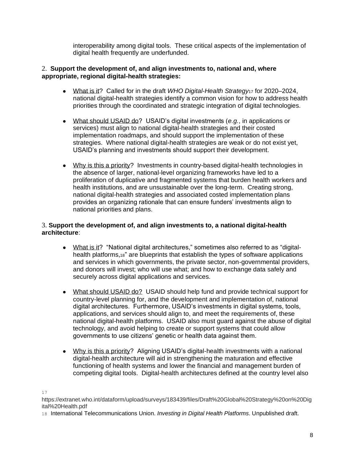interoperability among digital tools. These critical aspects of the implementation of digital health frequently are underfunded.

#### 2. **Support the development of, and align investments to, national and, where appropriate, regional digital-health strategies:**

- What is it? Called for in the draft *WHO Digital-Health Strategy*<sup>17</sup> for 2020–2024, national digital-health strategies identify a common vision for how to address health priorities through the coordinated and strategic integration of digital technologies.
- What should USAID do? USAID's digital investments (*e.g.*, in applications or services) must align to national digital-health strategies and their costed implementation roadmaps, and should support the implementation of these strategies. Where national digital-health strategies are weak or do not exist yet, USAID's planning and investments should support their development.
- Why is this a priority? Investments in country-based digital-health technologies in the absence of larger, national-level organizing frameworks have led to a proliferation of duplicative and fragmented systems that burden health workers and health institutions, and are unsustainable over the long-term. Creating strong, national digital-health strategies and associated costed implementation plans provides an organizing rationale that can ensure funders' investments align to national priorities and plans.

#### 3. **Support the development of, and align investments to, a national digital-health architecture**:

- What is it? "National digital architectures," sometimes also referred to as "digitalhealth platforms,18" are blueprints that establish the types of software applications and services in which governments, the private sector, non-governmental providers, and donors will invest; who will use what; and how to exchange data safely and securely across digital applications and services.
- What should USAID do? USAID should help fund and provide technical support for country-level planning for, and the development and implementation of, national digital architectures. Furthermore, USAID's investments in digital systems, tools, applications, and services should align to, and meet the requirements of, these national digital-health platforms. USAID also must guard against the abuse of digital technology, and avoid helping to create or support systems that could allow governments to use citizens' genetic or health data against them.
- Why is this a priority? Aligning USAID's digital-health investments with a national digital-health architecture will aid in strengthening the maturation and effective functioning of health systems and lower the financial and management burden of competing digital tools. Digital-health architectures defined at the country level also

17

[https://extranet.who.int/dataform/upload/surveys/183439/files/Draft%20Global%20Strategy%20on%20Dig](https://extranet.who.int/dataform/upload/surveys/183439/files/Draft%20Global%20Strategy%20on%20Digital%20Health.pdf) [ital%20Health.pdf](https://extranet.who.int/dataform/upload/surveys/183439/files/Draft%20Global%20Strategy%20on%20Digital%20Health.pdf)

<sup>18</sup> International Telecommunications Union. *Investing in Digital Health Platforms*. Unpublished draft.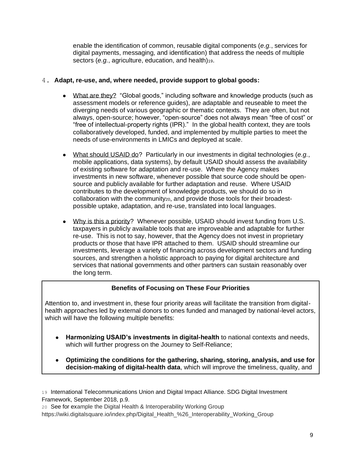enable the identification of common, reusable digital components (*e.g.*, services for digital payments, messaging, and identification) that address the needs of multiple sectors (e.g., agriculture, education, and health)<sup>19</sup>.

#### 4. **Adapt, re-use, and, where needed, provide support to global goods:**

- What are they? "Global goods," including software and knowledge products (such as assessment models or reference guides), are adaptable and reuseable to meet the diverging needs of various geographic or thematic contexts. They are often, but not always, open-source; however, "open-source" does not always mean "free of cost" or "free of intellectual-property rights (IPR)." In the global health context, they are tools collaboratively developed, funded, and implemented by multiple parties to meet the needs of use-environments in LMICs and deployed at scale.
- What should USAID do? Particularly in our investments in digital technologies (*e.g.*, mobile applications, data systems), by default USAID should assess the availability of existing software for adaptation and re-use. Where the Agency makes investments in new software, whenever possible that source code should be opensource and publicly available for further adaptation and reuse. Where USAID contributes to the development of knowledge products, we should do so in collaboration with the community20, and provide those tools for their broadestpossible uptake, adaptation, and re-use, translated into local languages.
- Why is this a priority? Whenever possible, USAID should invest funding from U.S. taxpayers in publicly available tools that are improveable and adaptable for further re-use. This is not to say, however, that the Agency does not invest in proprietary products or those that have IPR attached to them. USAID should streamline our investments, leverage a variety of financing across development sectors and funding sources, and strengthen a holistic approach to paying for digital architecture and services that national governments and other partners can sustain reasonably over the long term.

## **Benefits of Focusing on These Four Priorities**

Attention to, and investment in, these four priority areas will facilitate the transition from digitalhealth approaches led by external donors to ones funded and managed by national-level actors, which will have the following multiple benefits:

- **Harmonizing USAID's investments in digital-health** to national contexts and needs, which will further progress on the Journey to Self-Reliance;
- **Optimizing the conditions for the gathering, sharing, storing, analysis, and use for decision-making of digital-health data**, which will improve the timeliness, quality, and

19 International Telecommunications Union and Digital Impact Alliance. SDG Digital Investment Framework, September 2018, p.9.

20 See for example the Digital Health & Interoperability Working Group [https://wiki.digitalsquare.io/index.php/Digital\\_Health\\_%26\\_Interoperability\\_Working\\_Group](https://wiki.digitalsquare.io/index.php/Digital_Health_%26_Interoperability_Working_Group)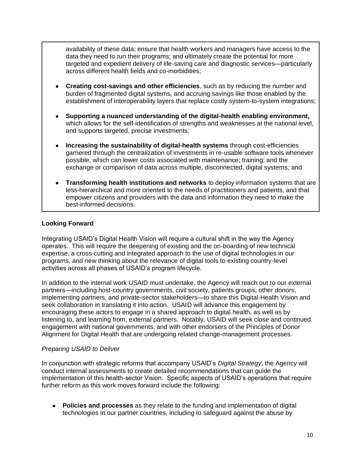availability of these data; ensure that health workers and managers have access to the data they need to run their programs; and ultimately create the potential for more targeted and expedient delivery of life-saving care and diagnostic services—particularly across different health fields and co-morbidities;

- **Creating cost-savings and other efficiencies**, such as by reducing the number and burden of fragmented digital systems, and accruing savings like those enabled by the establishment of interoperability layers that replace costly system-to-system integrations;
- Supporting a nuanced understanding of the digital-health enabling environment. which allows for the self-identification of strengths and weaknesses at the national level, and supports targeted, precise investments;
- **Increasing the sustainability of digital-health systems** through cost-efficiencies garnered through the centralization of investments in re-usable software tools whenever possible, which can lower costs associated with maintenance; training; and the exchange or comparison of data across multiple, disconnected, digital systems; and
- **Transforming health institutions and networks** to deploy information systems that are less-hierarchical and more oriented to the needs of practitioners and patients, and that empower citizens and providers with the data and information they need to make the best-informed decisions.

#### **Looking Forward**

Integrating USAID's Digital Health Vision will require a cultural shift in the way the Agency operates. This will require the deepening of existing and the on-boarding of new technical expertise, a cross-cutting and integrated approach to the use of digital technologies in our programs, and new thinking about the relevance of digital tools to existing country-level activities across all phases of USAID's program lifecycle.

In addition to the internal work USAID must undertake, the Agency will reach out to our external partners—including host-country governments, civil society, patients groups, other donors, implementing partners, and private-sector stakeholders—to share this Digital-Health Vision and seek collaboration in translating it into action. USAID will advance this engagement by encouraging these actors to engage in a shared approach to digital health, as well as by listening to, and learning from, external partners. Notably, USAID will seek close and continued engagement with national governments, and with other endorsers of the Principles of Donor Alignment for Digital Health that are undergoing related change-management processes.

#### *Preparing USAID to Deliver*

In conjunction with strategic reforms that accompany USAID's *Digital Strategy*, the Agency will conduct internal assessments to create detailed recommendations that can guide the implementation of this health-sector Vision. Specific aspects of USAID's operations that require further reform as this work moves forward include the following:

● **Policies and processes** as they relate to the funding and implementation of digital technologies in our partner countries, including to safeguard against the abuse by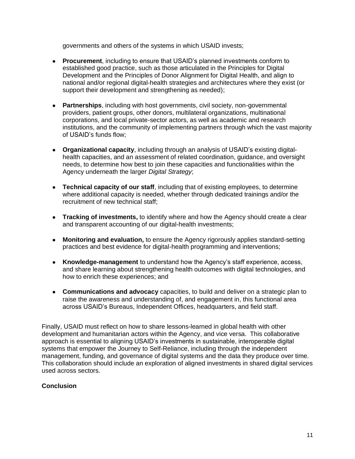governments and others of the systems in which USAID invests;

- **Procurement**, including to ensure that USAID's planned investments conform to established good practice, such as those articulated in the Principles for Digital Development and the Principles of Donor Alignment for Digital Health, and align to national and/or regional digital-health strategies and architectures where they exist (or support their development and strengthening as needed);
- **Partnerships**, including with host governments, civil society, non-governmental providers, patient groups, other donors, multilateral organizations, multinational corporations, and local private-sector actors, as well as academic and research institutions, and the community of implementing partners through which the vast majority of USAID's funds flow;
- **Organizational capacity**, including through an analysis of USAID's existing digitalhealth capacities, and an assessment of related coordination, guidance, and oversight needs, to determine how best to join these capacities and functionalities within the Agency underneath the larger *Digital Strategy*;
- **Technical capacity of our staff**, including that of existing employees, to determine where additional capacity is needed, whether through dedicated trainings and/or the recruitment of new technical staff;
- **Tracking of investments, to identify where and how the Agency should create a clear** and transparent accounting of our digital-health investments;
- **Monitoring and evaluation,** to ensure the Agency rigorously applies standard-setting practices and best evidence for digital-health programming and interventions;
- **Knowledge-management** to understand how the Agency's staff experience, access, and share learning about strengthening health outcomes with digital technologies, and how to enrich these experiences; and
- **Communications and advocacy** capacities, to build and deliver on a strategic plan to raise the awareness and understanding of, and engagement in, this functional area across USAID's Bureaus, Independent Offices, headquarters, and field staff.

Finally, USAID must reflect on how to share lessons-learned in global health with other development and humanitarian actors within the Agency, and vice versa. This collaborative approach is essential to aligning USAID's investments in sustainable, interoperable digital systems that empower the Journey to Self-Reliance, including through the independent management, funding, and governance of digital systems and the data they produce over time. This collaboration should include an exploration of aligned investments in shared digital services used across sectors.

## **Conclusion**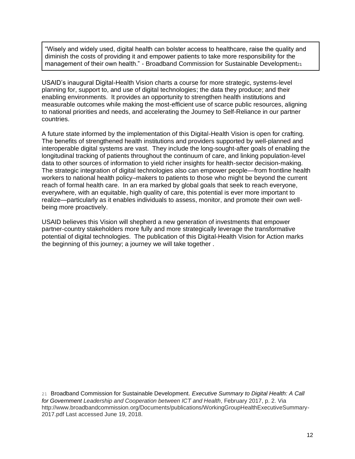"Wisely and widely used, digital health can bolster access to healthcare, raise the quality and diminish the costs of providing it and empower patients to take more responsibility for the management of their own health." - Broadband Commission for Sustainable Development21

USAID's inaugural Digital-Health Vision charts a course for more strategic, systems-level planning for, support to, and use of digital technologies; the data they produce; and their enabling environments. It provides an opportunity to strengthen health institutions and measurable outcomes while making the most-efficient use of scarce public resources, aligning to national priorities and needs, and accelerating the Journey to Self-Reliance in our partner countries.

A future state informed by the implementation of this Digital-Health Vision is open for crafting. The benefits of strengthened health institutions and providers supported by well-planned and interoperable digital systems are vast. They include the long-sought-after goals of enabling the longitudinal tracking of patients throughout the continuum of care, and linking population-level data to other sources of information to yield richer insights for health-sector decision-making. The strategic integration of digital technologies also can empower people—from frontline health workers to national health policy–makers to patients to those who might be beyond the current reach of formal health care. In an era marked by global goals that seek to reach everyone, everywhere, with an equitable, high quality of care, this potential is ever more important to realize—particularly as it enables individuals to assess, monitor, and promote their own wellbeing more proactively.

USAID believes this Vision will shepherd a new generation of investments that empower partner-country stakeholders more fully and more strategically leverage the transformative potential of digital technologies. The publication of this Digital-Health Vision for Action marks the beginning of this journey; a journey we will take together .

21 Broadband Commission for Sustainable Development. *Executive Summary to Digital Health: A Call for Government Leadership and Cooperation between ICT and Health*, February 2017, p. 2. Via [http://www.broadbandcommission.org/Documents/publications/WorkingGroupHealthExecutiveSummary-](http://www.broadbandcommission.org/Documents/publications/WorkingGroupHealthExecutiveSummary-2017.pdf)[2017.pdf](http://www.broadbandcommission.org/Documents/publications/WorkingGroupHealthExecutiveSummary-2017.pdf) Last accessed June 19, 2018.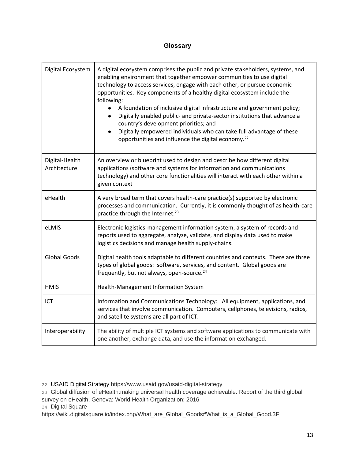## **Glossary**

| Digital Ecosystem              | A digital ecosystem comprises the public and private stakeholders, systems, and<br>enabling environment that together empower communities to use digital<br>technology to access services, engage with each other, or pursue economic<br>opportunities. Key components of a healthy digital ecosystem include the<br>following:<br>A foundation of inclusive digital infrastructure and government policy;<br>$\bullet$<br>Digitally enabled public- and private-sector institutions that advance a<br>country's development priorities; and<br>Digitally empowered individuals who can take full advantage of these<br>opportunities and influence the digital economy. <sup>22</sup> |
|--------------------------------|----------------------------------------------------------------------------------------------------------------------------------------------------------------------------------------------------------------------------------------------------------------------------------------------------------------------------------------------------------------------------------------------------------------------------------------------------------------------------------------------------------------------------------------------------------------------------------------------------------------------------------------------------------------------------------------|
| Digital-Health<br>Architecture | An overview or blueprint used to design and describe how different digital<br>applications (software and systems for information and communications<br>technology) and other core functionalities will interact with each other within a<br>given context                                                                                                                                                                                                                                                                                                                                                                                                                              |
| eHealth                        | A very broad term that covers health-care practice(s) supported by electronic<br>processes and communication. Currently, it is commonly thought of as health-care<br>practice through the Internet. <sup>23</sup>                                                                                                                                                                                                                                                                                                                                                                                                                                                                      |
| eLMIS                          | Electronic logistics-management information system, a system of records and<br>reports used to aggregate, analyze, validate, and display data used to make<br>logistics decisions and manage health supply-chains.                                                                                                                                                                                                                                                                                                                                                                                                                                                                     |
| <b>Global Goods</b>            | Digital health tools adaptable to different countries and contexts. There are three<br>types of global goods: software, services, and content. Global goods are<br>frequently, but not always, open-source. <sup>24</sup>                                                                                                                                                                                                                                                                                                                                                                                                                                                              |
| <b>HMIS</b>                    | Health-Management Information System                                                                                                                                                                                                                                                                                                                                                                                                                                                                                                                                                                                                                                                   |
| ICT                            | Information and Communications Technology: All equipment, applications, and<br>services that involve communication. Computers, cellphones, televisions, radios,<br>and satellite systems are all part of ICT.                                                                                                                                                                                                                                                                                                                                                                                                                                                                          |
| Interoperability               | The ability of multiple ICT systems and software applications to communicate with<br>one another, exchange data, and use the information exchanged.                                                                                                                                                                                                                                                                                                                                                                                                                                                                                                                                    |

22 USAID Digital Strategy<https://www.usaid.gov/usaid-digital-strategy>

- 23 Global diffusion of eHealth:making universal health coverage achievable. Report of the third global
- survey on eHealth. Geneva: World Health Organization; 2016
- 24 Digital Square

[https://wiki.digitalsquare.io/index.php/What\\_are\\_Global\\_Goods#What\\_is\\_a\\_Global\\_Good.3F](https://wiki.digitalsquare.io/index.php/What_are_Global_Goods#What_is_a_Global_Good.3F)